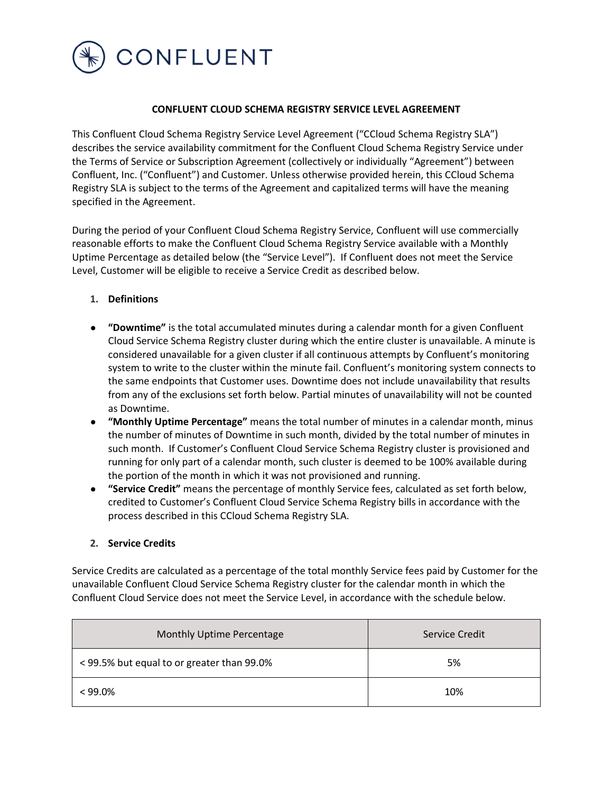

## **CONFLUENT CLOUD SCHEMA REGISTRY SERVICE LEVEL AGREEMENT**

This Confluent Cloud Schema Registry Service Level Agreement ("CCloud Schema Registry SLA") describes the service availability commitment for the Confluent Cloud Schema Registry Service under the Terms of Service or Subscription Agreement (collectively or individually "Agreement") between Confluent, Inc. ("Confluent") and Customer. Unless otherwise provided herein, this CCloud Schema Registry SLA is subject to the terms of the Agreement and capitalized terms will have the meaning specified in the Agreement.

During the period of your Confluent Cloud Schema Registry Service, Confluent will use commercially reasonable efforts to make the Confluent Cloud Schema Registry Service available with a Monthly Uptime Percentage as detailed below (the "Service Level"). If Confluent does not meet the Service Level, Customer will be eligible to receive a Service Credit as described below.

- **1. Definitions**
- **"Downtime"** is the total accumulated minutes during a calendar month for a given Confluent Cloud Service Schema Registry cluster during which the entire cluster is unavailable. A minute is considered unavailable for a given cluster if all continuous attempts by Confluent's monitoring system to write to the cluster within the minute fail. Confluent's monitoring system connects to the same endpoints that Customer uses. Downtime does not include unavailability that results from any of the exclusions set forth below. Partial minutes of unavailability will not be counted as Downtime.
- **"Monthly Uptime Percentage"** means the total number of minutes in a calendar month, minus the number of minutes of Downtime in such month, divided by the total number of minutes in such month. If Customer's Confluent Cloud Service Schema Registry cluster is provisioned and running for only part of a calendar month, such cluster is deemed to be 100% available during the portion of the month in which it was not provisioned and running.
- **"Service Credit"** means the percentage of monthly Service fees, calculated as set forth below, credited to Customer's Confluent Cloud Service Schema Registry bills in accordance with the process described in this CCloud Schema Registry SLA.

## **2. Service Credits**

Service Credits are calculated as a percentage of the total monthly Service fees paid by Customer for the unavailable Confluent Cloud Service Schema Registry cluster for the calendar month in which the Confluent Cloud Service does not meet the Service Level, in accordance with the schedule below.

| Monthly Uptime Percentage                  | Service Credit |
|--------------------------------------------|----------------|
| < 99.5% but equal to or greater than 99.0% | 5%             |
| $< 99.0\%$                                 | 10%            |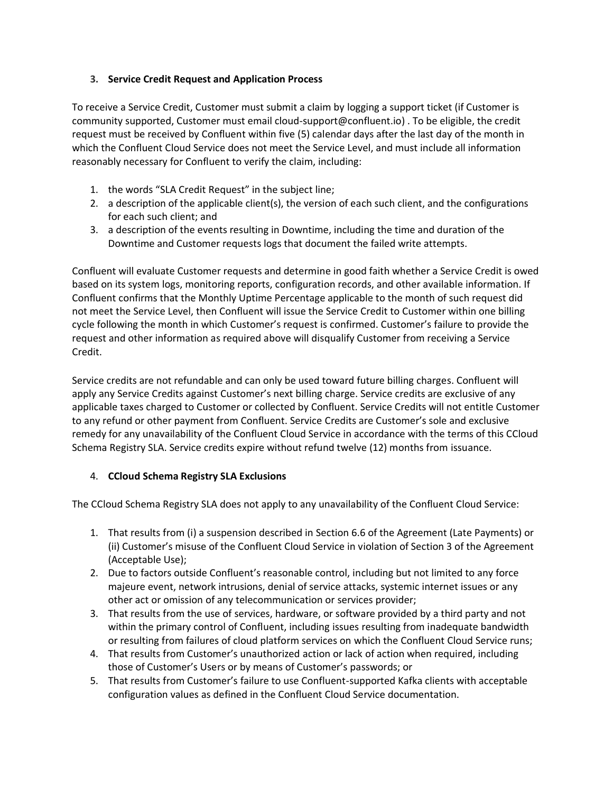## **3. Service Credit Request and Application Process**

To receive a Service Credit, Customer must submit a claim by logging a support ticket (if Customer is community supported, Customer must email cloud-support@confluent.io) . To be eligible, the credit request must be received by Confluent within five (5) calendar days after the last day of the month in which the Confluent Cloud Service does not meet the Service Level, and must include all information reasonably necessary for Confluent to verify the claim, including:

- 1. the words "SLA Credit Request" in the subject line;
- 2. a description of the applicable client(s), the version of each such client, and the configurations for each such client; and
- 3. a description of the events resulting in Downtime, including the time and duration of the Downtime and Customer requests logs that document the failed write attempts.

Confluent will evaluate Customer requests and determine in good faith whether a Service Credit is owed based on its system logs, monitoring reports, configuration records, and other available information. If Confluent confirms that the Monthly Uptime Percentage applicable to the month of such request did not meet the Service Level, then Confluent will issue the Service Credit to Customer within one billing cycle following the month in which Customer's request is confirmed. Customer's failure to provide the request and other information as required above will disqualify Customer from receiving a Service Credit.

Service credits are not refundable and can only be used toward future billing charges. Confluent will apply any Service Credits against Customer's next billing charge. Service credits are exclusive of any applicable taxes charged to Customer or collected by Confluent. Service Credits will not entitle Customer to any refund or other payment from Confluent. Service Credits are Customer's sole and exclusive remedy for any unavailability of the Confluent Cloud Service in accordance with the terms of this CCloud Schema Registry SLA. Service credits expire without refund twelve (12) months from issuance.

## 4. **CCloud Schema Registry SLA Exclusions**

The CCloud Schema Registry SLA does not apply to any unavailability of the Confluent Cloud Service:

- 1. That results from (i) a suspension described in Section 6.6 of the Agreement (Late Payments) or (ii) Customer's misuse of the Confluent Cloud Service in violation of Section 3 of the Agreement (Acceptable Use);
- 2. Due to factors outside Confluent's reasonable control, including but not limited to any force majeure event, network intrusions, denial of service attacks, systemic internet issues or any other act or omission of any telecommunication or services provider;
- 3. That results from the use of services, hardware, or software provided by a third party and not within the primary control of Confluent, including issues resulting from inadequate bandwidth or resulting from failures of cloud platform services on which the Confluent Cloud Service runs;
- 4. That results from Customer's unauthorized action or lack of action when required, including those of Customer's Users or by means of Customer's passwords; or
- 5. That results from Customer's failure to use Confluent-supported Kafka clients with acceptable configuration values as defined in the Confluent Cloud Service documentation.